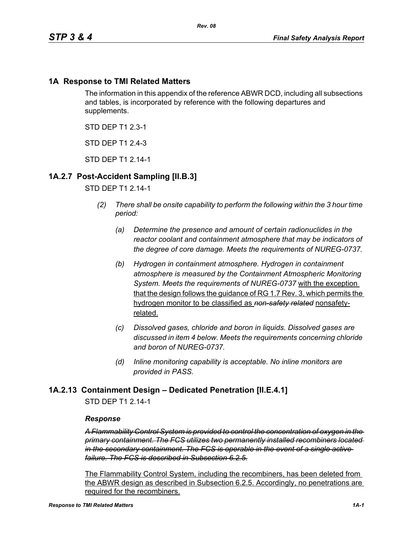### **1A Response to TMI Related Matters**

The information in this appendix of the reference ABWR DCD, including all subsections and tables, is incorporated by reference with the following departures and supplements.

STD DEP T1 2.3-1

STD DFP T1 2 4-3

STD DFP T1 2 14-1

## **1A.2.7 Post-Accident Sampling [II.B.3]**

#### STD DEP T1 2.14-1

- *(2) There shall be onsite capability to perform the following within the 3 hour time period:*
	- *(a) Determine the presence and amount of certain radionuclides in the reactor coolant and containment atmosphere that may be indicators of the degree of core damage. Meets the requirements of NUREG-0737.*
	- *(b) Hydrogen in containment atmosphere. Hydrogen in containment atmosphere is measured by the Containment Atmospheric Monitoring System. Meets the requirements of NUREG-0737* with the exception that the design follows the guidance of RG 1.7 Rev. 3, which permits the hydrogen monitor to be classified as *non-safety related* nonsafetyrelated.
	- *(c) Dissolved gases, chloride and boron in liquids. Dissolved gases are discussed in item 4 below. Meets the requirements concerning chloride and boron of NUREG-0737.*
	- *(d) Inline monitoring capability is acceptable. No inline monitors are provided in PASS.*

### **1A.2.13 Containment Design – Dedicated Penetration [II.E.4.1]**

STD DEP T1 2.14-1

#### *Response*

*A Flammability Control System is provided to control the concentration of oxygen in the primary containment. The FCS utilizes two permanently installed recombiners located in the secondary containment. The FCS is operable in the event of a single active failure. The FCS is described in Subsection 6.2.5.*

The Flammability Control System, including the recombiners, has been deleted from the ABWR design as described in Subsection 6.2.5. Accordingly, no penetrations are required for the recombiners.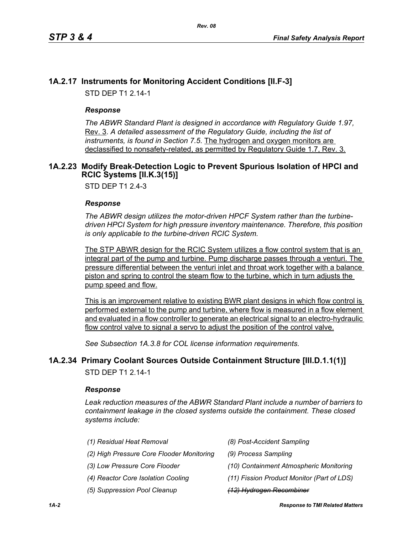## **1A.2.17 Instruments for Monitoring Accident Conditions [II.F-3]**

STD DEP T1 2.14-1

### *Response*

*The ABWR Standard Plant is designed in accordance with Regulatory Guide 1.97,* Rev. 3. *A detailed assessment of the Regulatory Guide, including the list of instruments, is found in Section 7.5*. The hydrogen and oxygen monitors are declassified to nonsafety-related, as permitted by Regulatory Guide 1.7, Rev. 3.

### <span id="page-1-0"></span>**1A.2.23 Modify Break-Detection Logic to Prevent Spurious Isolation of HPCI and RCIC Systems [II.K.3(15)]**

STD DEP T1 2.4-3

#### *Response*

*The ABWR design utilizes the motor-driven HPCF System rather than the turbinedriven HPCI System for high pressure inventory maintenance. Therefore, this position is only applicable to the turbine-driven RCIC System.*

The STP ABWR design for the RCIC System utilizes a flow control system that is an integral part of the pump and turbine. Pump discharge passes through a venturi. The pressure differential between the venturi inlet and throat work together with a balance piston and spring to control the steam flow to the turbine, which in turn adjusts the pump speed and flow.

This is an improvement relative to existing BWR plant designs in which flow control is performed external to the pump and turbine, where flow is measured in a flow element and evaluated in a flow controller to generate an electrical signal to an electro-hydraulic flow control valve to signal a servo to adjust the position of the control valve.

*See Subsection 1A.3.8 for COL license information requirements.*

## **1A.2.34 Primary Coolant Sources Outside Containment Structure [III.D.1.1(1)]**

STD DEP T1 2.14-1

### *Response*

*Leak reduction measures of the ABWR Standard Plant include a number of barriers to containment leakage in the closed systems outside the containment. These closed systems include:*

| (1) Residual Heat Removal                 | (8) Post-Accident Sampling                 |
|-------------------------------------------|--------------------------------------------|
| (2) High Pressure Core Flooder Monitoring | (9) Process Sampling                       |
| (3) Low Pressure Core Flooder             | (10) Containment Atmospheric Monitoring    |
| (4) Reactor Core Isolation Cooling        | (11) Fission Product Monitor (Part of LDS) |
| (5) Suppression Pool Cleanup              | (12) Hydrogen Recombiner                   |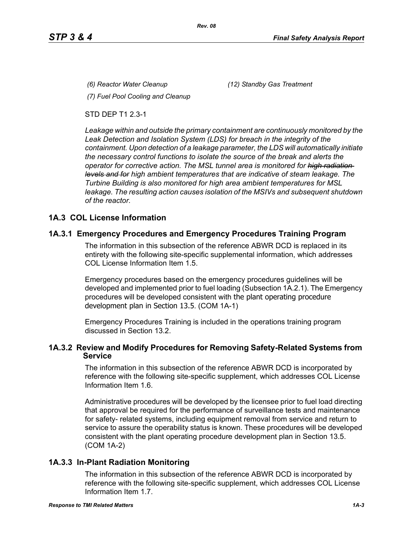*(6) Reactor Water Cleanup (12) Standby Gas Treatment*

*(7) Fuel Pool Cooling and Cleanup*

STD DEP T1 2.3-1

*Leakage within and outside the primary containment are continuously monitored by the Leak Detection and Isolation System (LDS) for breach in the integrity of the containment. Upon detection of a leakage parameter, the LDS will automatically initiate the necessary control functions to isolate the source of the break and alerts the operator for corrective action. The MSL tunnel area is monitored for high radiation levels and for high ambient temperatures that are indicative of steam leakage. The Turbine Building is also monitored for high area ambient temperatures for MSL leakage. The resulting action causes isolation of the MSIVs and subsequent shutdown of the reactor.*

## **1A.3 COL License Information**

## **1A.3.1 Emergency Procedures and Emergency Procedures Training Program**

The information in this subsection of the reference ABWR DCD is replaced in its entirety with the following site-specific supplemental information, which addresses COL License Information Item 1.5.

Emergency procedures based on the emergency procedures guidelines will be developed and implemented prior to fuel loading (Subsection 1A.2.1). The Emergency procedures will be developed consistent with the plant operating procedure development plan in Section 13.5. (COM 1A-1)

Emergency Procedures Training is included in the operations training program discussed in Section 13.2.

### **1A.3.2 Review and Modify Procedures for Removing Safety-Related Systems from Service**

The information in this subsection of the reference ABWR DCD is incorporated by reference with the following site-specific supplement, which addresses COL License Information Item 1.6.

Administrative procedures will be developed by the licensee prior to fuel load directing that approval be required for the performance of surveillance tests and maintenance for safety- related systems, including equipment removal from service and return to service to assure the operability status is known. These procedures will be developed consistent with the plant operating procedure development plan in Section 13.5. (COM 1A-2)

# **1A.3.3 In-Plant Radiation Monitoring**

The information in this subsection of the reference ABWR DCD is incorporated by reference with the following site-specific supplement, which addresses COL License Information Item 1.7.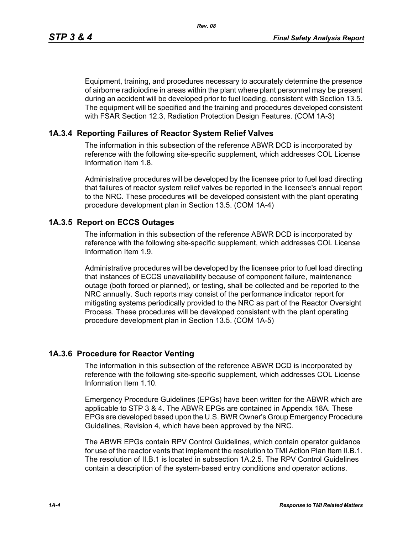Equipment, training, and procedures necessary to accurately determine the presence of airborne radioiodine in areas within the plant where plant personnel may be present during an accident will be developed prior to fuel loading, consistent with Section 13.5. The equipment will be specified and the training and procedures developed consistent with FSAR Section 12.3, Radiation Protection Design Features. (COM 1A-3)

### **1A.3.4 Reporting Failures of Reactor System Relief Valves**

The information in this subsection of the reference ABWR DCD is incorporated by reference with the following site-specific supplement, which addresses COL License Information Item 1.8.

Administrative procedures will be developed by the licensee prior to fuel load directing that failures of reactor system relief valves be reported in the licensee's annual report to the NRC. These procedures will be developed consistent with the plant operating procedure development plan in Section 13.5. (COM 1A-4)

### **1A.3.5 Report on ECCS Outages**

The information in this subsection of the reference ABWR DCD is incorporated by reference with the following site-specific supplement, which addresses COL License Information Item 1.9.

Administrative procedures will be developed by the licensee prior to fuel load directing that instances of ECCS unavailability because of component failure, maintenance outage (both forced or planned), or testing, shall be collected and be reported to the NRC annually. Such reports may consist of the performance indicator report for mitigating systems periodically provided to the NRC as part of the Reactor Oversight Process. These procedures will be developed consistent with the plant operating procedure development plan in Section 13.5. (COM 1A-5)

### **1A.3.6 Procedure for Reactor Venting**

The information in this subsection of the reference ABWR DCD is incorporated by reference with the following site-specific supplement, which addresses COL License Information Item 1.10.

Emergency Procedure Guidelines (EPGs) have been written for the ABWR which are applicable to STP 3 & 4. The ABWR EPGs are contained in Appendix 18A. These EPGs are developed based upon the U.S. BWR Owner's Group Emergency Procedure Guidelines, Revision 4, which have been approved by the NRC.

The ABWR EPGs contain RPV Control Guidelines, which contain operator guidance for use of the reactor vents that implement the resolution to TMI Action Plan Item II.B.1. The resolution of II.B.1 is located in subsection 1A.2.5. The RPV Control Guidelines contain a description of the system-based entry conditions and operator actions.